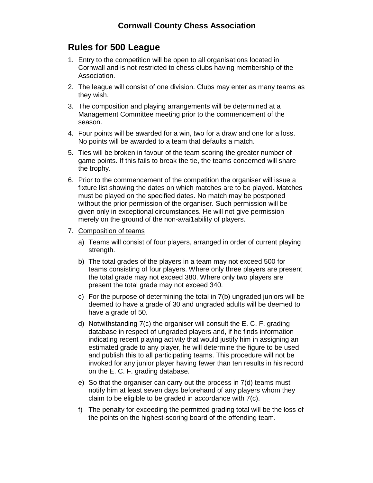## **Rules for 500 League**

- 1. Entry to the competition will be open to all organisations located in Cornwall and is not restricted to chess clubs having membership of the Association.
- 2. The league will consist of one division. Clubs may enter as many teams as they wish.
- 3. The composition and playing arrangements will be determined at a Management Committee meeting prior to the commencement of the season.
- 4. Four points will be awarded for a win, two for a draw and one for a loss. No points will be awarded to a team that defaults a match.
- 5. Ties will be broken in favour of the team scoring the greater number of game points. If this fails to break the tie, the teams concerned will share the trophy.
- 6. Prior to the commencement of the competition the organiser will issue a fixture list showing the dates on which matches are to be played. Matches must be played on the specified dates. No match may be postponed without the prior permission of the organiser. Such permission will be given only in exceptional circumstances. He will not give permission merely on the ground of the non-avai1ability of players.
- 7. Composition of teams
	- a) Teams will consist of four players, arranged in order of current playing strength.
	- b) The total grades of the players in a team may not exceed 500 for teams consisting of four players. Where only three players are present the total grade may not exceed 380. Where only two players are present the total grade may not exceed 340.
	- c) For the purpose of determining the total in 7(b) ungraded juniors will be deemed to have a grade of 30 and ungraded adults will be deemed to have a grade of 50.
	- d) Notwithstanding 7(c) the organiser will consult the E. C. F. grading database in respect of ungraded players and, if he finds information indicating recent playing activity that would justify him in assigning an estimated grade to any player, he will determine the figure to be used and publish this to all participating teams. This procedure will not be invoked for any junior player having fewer than ten results in his record on the E. C. F. grading database.
	- e) So that the organiser can carry out the process in 7(d) teams must notify him at least seven days beforehand of any players whom they claim to be eligible to be graded in accordance with 7(c).
	- f) The penalty for exceeding the permitted grading total will be the loss of the points on the highest-scoring board of the offending team.